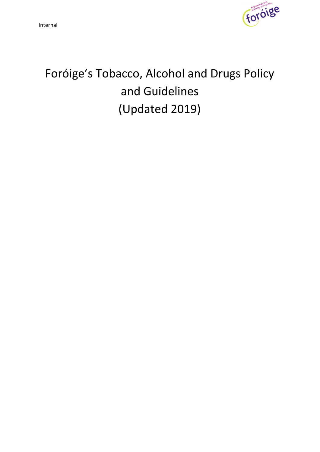

# Foróige's Tobacco, Alcohol and Drugs Policy and Guidelines (Updated 2019)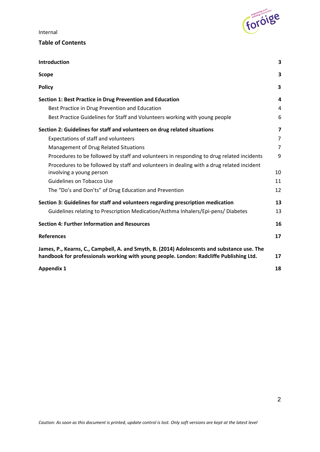

## **Table of Contents**

| Introduction                                                                                                                                                                           | 3                       |
|----------------------------------------------------------------------------------------------------------------------------------------------------------------------------------------|-------------------------|
| <b>Scope</b>                                                                                                                                                                           | 3                       |
| <b>Policy</b>                                                                                                                                                                          | $\overline{\mathbf{3}}$ |
| Section 1: Best Practice in Drug Prevention and Education                                                                                                                              | 4                       |
| Best Practice in Drug Prevention and Education                                                                                                                                         | 4                       |
| Best Practice Guidelines for Staff and Volunteers working with young people                                                                                                            | 6                       |
| Section 2: Guidelines for staff and volunteers on drug related situations                                                                                                              | $\overline{\mathbf{z}}$ |
| Expectations of staff and volunteers                                                                                                                                                   | 7                       |
| Management of Drug Related Situations                                                                                                                                                  | 7                       |
| Procedures to be followed by staff and volunteers in responding to drug related incidents                                                                                              | 9                       |
| Procedures to be followed by staff and volunteers in dealing with a drug related incident<br>involving a young person                                                                  | 10                      |
| <b>Guidelines on Tobacco Use</b>                                                                                                                                                       | 11                      |
| The "Do's and Don'ts" of Drug Education and Prevention                                                                                                                                 | 12                      |
| Section 3: Guidelines for staff and volunteers regarding prescription medication                                                                                                       | 13                      |
| Guidelines relating to Prescription Medication/Asthma Inhalers/Epi-pens/Diabetes                                                                                                       | 13                      |
| <b>Section 4: Further Information and Resources</b>                                                                                                                                    | 16                      |
| <b>References</b>                                                                                                                                                                      | 17                      |
| James, P., Kearns, C., Campbell, A. and Smyth, B. (2014) Adolescents and substance use. The<br>handbook for professionals working with young people. London: Radcliffe Publishing Ltd. | 17                      |
| <b>Appendix 1</b>                                                                                                                                                                      | 18                      |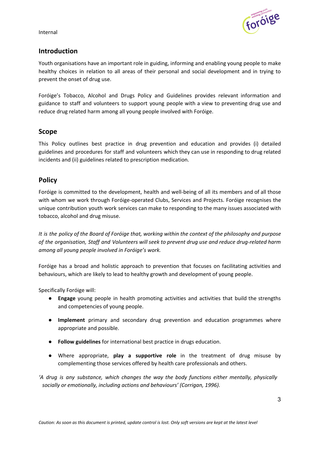

# <span id="page-2-0"></span>**Introduction**

Youth organisations have an important role in guiding, informing and enabling young people to make healthy choices in relation to all areas of their personal and social development and in trying to prevent the onset of drug use.

Foróige's Tobacco, Alcohol and Drugs Policy and Guidelines provides relevant information and guidance to staff and volunteers to support young people with a view to preventing drug use and reduce drug related harm among all young people involved with Foróige.

## <span id="page-2-1"></span>**Scope**

This Policy outlines best practice in drug prevention and education and provides (i) detailed guidelines and procedures for staff and volunteers which they can use in responding to drug related incidents and (ii) guidelines related to prescription medication.

# <span id="page-2-2"></span>**Policy**

Foróige is committed to the development, health and well-being of all its members and of all those with whom we work through Foróige-operated Clubs, Services and Projects. Foróige recognises the unique contribution youth work services can make to responding to the many issues associated with tobacco, alcohol and drug misuse.

It is the policy of the Board of Foróige that, working within the context of the philosophy and purpose *of the organisation, Staff and Volunteers will seek to prevent drug use and reduce drug-related harm among all young people involved in Foróige's work.*

Foróige has a broad and holistic approach to prevention that focuses on facilitating activities and behaviours, which are likely to lead to healthy growth and development of young people.

Specifically Foróige will:

- **Engage** young people in health promoting activities and activities that build the strengths and competencies of young people.
- **Implement** primary and secondary drug prevention and education programmes where appropriate and possible.
- **Follow guidelines** for international best practice in drugs education.
- Where appropriate, **play a supportive role** in the treatment of drug misuse by complementing those services offered by health care professionals and others.

*'A drug is any substance, which changes the way the body functions either mentally, physically socially or emotionally, including actions and behaviours' (Corrigan, 1996).*

3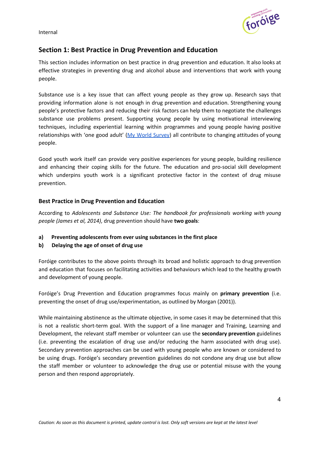

# <span id="page-3-0"></span>**Section 1: Best Practice in Drug Prevention and Education**

This section includes information on best practice in drug prevention and education. It also looks at effective strategies in preventing drug and alcohol abuse and interventions that work with young people.

Substance use is a key issue that can affect young people as they grow up. Research says that providing information alone is not enough in drug prevention and education. Strengthening young people's protective factors and reducing their risk factors can help them to negotiate the challenges substance use problems present. Supporting young people by using motivational interviewing techniques, including experiential learning within programmes and young people having positive relationships with 'one good adult' (My World [Survey\)](https://www.jigsaw.ie/content/images/News__Events_/Research/MWS_Full_Report_PDF.pdf) all contribute to changing attitudes of young people.

Good youth work itself can provide very positive experiences for young people, building resilience and enhancing their coping skills for the future. The education and pro-social skill development which underpins youth work is a significant protective factor in the context of drug misuse prevention.

## <span id="page-3-1"></span>**Best Practice in Drug Prevention and Education**

According to *Adolescents and Substance Use: The handbook for professionals working with young people (James et al, 2014)*, drug prevention should have **two goals**:

- **a) Preventing adolescents from ever using substances in the first place**
- **b) Delaying the age of onset of drug use**

Foróige contributes to the above points through its broad and holistic approach to drug prevention and education that focuses on facilitating activities and behaviours which lead to the healthy growth and development of young people.

Foróige's Drug Prevention and Education programmes focus mainly on **primary prevention** (i.e. preventing the onset of drug use/experimentation, as outlined by Morgan (2001)).

While maintaining abstinence as the ultimate objective, in some cases it may be determined that this is not a realistic short-term goal. With the support of a line manager and Training, Learning and Development, the relevant staff member or volunteer can use the **secondary prevention** guidelines (i.e. preventing the escalation of drug use and/or reducing the harm associated with drug use). Secondary prevention approaches can be used with young people who are known or considered to be using drugs. Foróige's secondary prevention guidelines do not condone any drug use but allow the staff member or volunteer to acknowledge the drug use or potential misuse with the young person and then respond appropriately.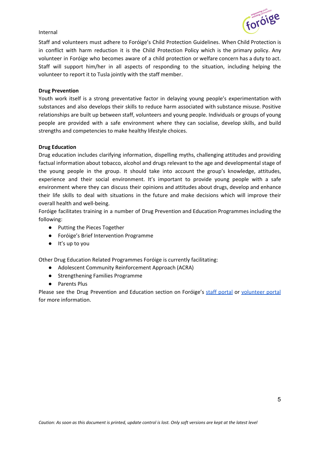

Staff and volunteers must adhere to Foróige's Child Protection Guidelines. When Child Protection is in conflict with harm reduction it is the Child Protection Policy which is the primary policy. Any volunteer in Foróige who becomes aware of a child protection or welfare concern has a duty to act. Staff will support him/her in all aspects of responding to the situation, including helping the volunteer to report it to Tusla jointly with the staff member.

#### **Drug Prevention**

Youth work itself is a strong preventative factor in delaying young people's experimentation with substances and also develops their skills to reduce harm associated with substance misuse. Positive relationships are built up between staff, volunteers and young people. Individuals or groups of young people are provided with a safe environment where they can socialise, develop skills, and build strengths and competencies to make healthy lifestyle choices.

#### **Drug Education**

Drug education includes clarifying information, dispelling myths, challenging attitudes and providing factual information about tobacco, alcohol and drugs relevant to the age and developmental stage of the young people in the group. It should take into account the group's knowledge, attitudes, experience and their social environment. It's important to provide young people with a safe environment where they can discuss their opinions and attitudes about drugs, develop and enhance their life skills to deal with situations in the future and make decisions which will improve their overall health and well-being.

Foróige facilitates training in a number of Drug Prevention and Education Programmes including the following:

- Putting the Pieces Together
- Foróige's Brief Intervention Programme
- It's up to you

Other Drug Education Related Programmes Foróige is currently facilitating:

- Adolescent Community Reinforcement Approach (ACRA)
- Strengthening Families Programme
- Parents Plus

Please see the Drug Prevention and Education section on Foróige's staff [portal](https://sites.google.com/a/foroige.ie/portal/training-learning-and-development/3-core-foroige-programmes/drug-prevention-and-education) or [volunteer](https://sites.google.com/a/foroige.ie/volunteer-portal/documents/drugs-alcohol) portal for more information.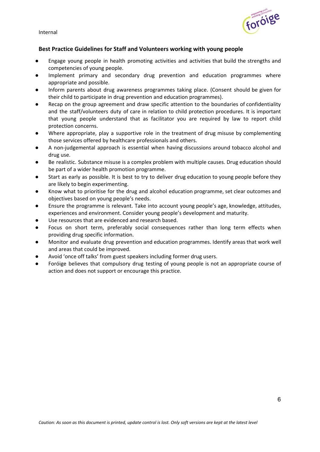

## <span id="page-5-0"></span>**Best Practice Guidelines for Staff and Volunteers working with young people**

- Engage young people in health promoting activities and activities that build the strengths and competencies of young people.
- Implement primary and secondary drug prevention and education programmes where appropriate and possible.
- Inform parents about drug awareness programmes taking place. (Consent should be given for their child to participate in drug prevention and education programmes).
- Recap on the group agreement and draw specific attention to the boundaries of confidentiality and the staff/volunteers duty of care in relation to child protection procedures. It is important that young people understand that as facilitator you are required by law to report child protection concerns.
- Where appropriate, play a supportive role in the treatment of drug misuse by complementing those services offered by healthcare professionals and others.
- A non-judgemental approach is essential when having discussions around tobacco alcohol and drug use.
- Be realistic. Substance misuse is a complex problem with multiple causes. Drug education should be part of a wider health promotion programme.
- Start as early as possible. It is best to try to deliver drug education to young people before they are likely to begin experimenting.
- Know what to prioritise for the drug and alcohol education programme, set clear outcomes and objectives based on young people's needs.
- Ensure the programme is relevant. Take into account young people's age, knowledge, attitudes, experiences and environment. Consider young people's development and maturity.
- Use resources that are evidenced and research based.
- Focus on short term, preferably social consequences rather than long term effects when providing drug specific information.
- Monitor and evaluate drug prevention and education programmes. Identify areas that work well and areas that could be improved.
- Avoid 'once off talks' from guest speakers including former drug users.
- Foróige believes that compulsory drug testing of young people is not an appropriate course of action and does not support or encourage this practice.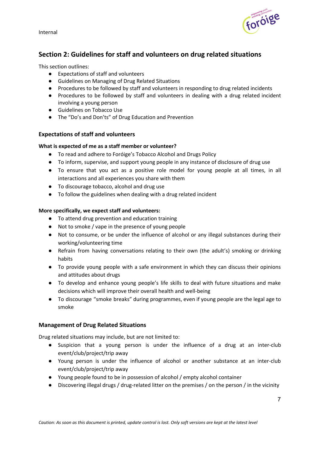

# <span id="page-6-0"></span>**Section 2: Guidelines for staff and volunteers on drug related situations**

This section outlines:

- Expectations of staff and volunteers
- Guidelines on Managing of Drug Related Situations
- Procedures to be followed by staff and volunteers in responding to drug related incidents
- Procedures to be followed by staff and volunteers in dealing with a drug related incident involving a young person
- Guidelines on Tobacco Use
- The "Do's and Don'ts" of Drug Education and Prevention

## <span id="page-6-1"></span>**Expectations of staff and volunteers**

#### **What is expected of me as a staff member or volunteer?**

- To read and adhere to Foróige's Tobacco Alcohol and Drugs Policy
- To inform, supervise, and support young people in any instance of disclosure of drug use
- To ensure that you act as a positive role model for young people at all times, in all interactions and all experiences you share with them
- To discourage tobacco, alcohol and drug use
- To follow the guidelines when dealing with a drug related incident

#### **More specifically, we expect staff and volunteers:**

- To attend drug prevention and education training
- Not to smoke / vape in the presence of young people
- Not to consume, or be under the influence of alcohol or any illegal substances during their working/volunteering time
- Refrain from having conversations relating to their own (the adult's) smoking or drinking habits
- To provide young people with a safe environment in which they can discuss their opinions and attitudes about drugs
- To develop and enhance young people's life skills to deal with future situations and make decisions which will improve their overall health and well-being
- To discourage "smoke breaks" during programmes, even if young people are the legal age to smoke

#### <span id="page-6-2"></span>**Management of Drug Related Situations**

Drug related situations may include, but are not limited to:

- Suspicion that a young person is under the influence of a drug at an inter-club event/club/project/trip away
- Young person is under the influence of alcohol or another substance at an inter-club event/club/project/trip away
- Young people found to be in possession of alcohol / empty alcohol container
- Discovering illegal drugs / drug-related litter on the premises / on the person / in the vicinity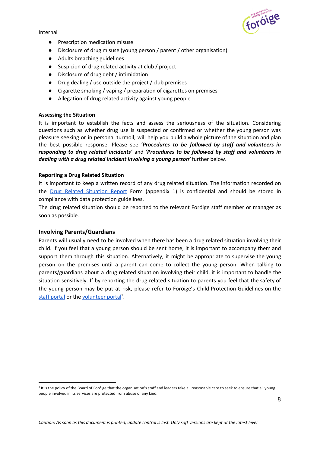

- Prescription medication misuse
- Disclosure of drug misuse (young person / parent / other organisation)
- Adults breaching guidelines
- Suspicion of drug related activity at club / project
- Disclosure of drug debt / intimidation
- Drug dealing / use outside the project / club premises
- Cigarette smoking / vaping / preparation of cigarettes on premises
- Allegation of drug related activity against young people

#### **Assessing the Situation**

It is important to establish the facts and assess the seriousness of the situation. Considering questions such as whether drug use is suspected or confirmed or whether the young person was pleasure seeking or in personal turmoil, will help you build a whole picture of the situation and plan the best possible response. Please see '*Procedures to be followed by staff and volunteers in responding to drug related incidents'* and *'Procedures to be followed by staff and volunteers in dealing with a drug related incident involving a young person'* further below.

#### **Reporting a Drug Related Situation**

It is important to keep a written record of any drug related situation. The information recorded on the Drug Related [Situation](https://drive.google.com/file/d/0B_EHi7aIZ3wlVXJmQ2x0S3MtNTg/edit) Report Form (appendix 1) is confidential and should be stored in compliance with data protection guidelines.

The drug related situation should be reported to the relevant Foróige staff member or manager as soon as possible.

#### **Involving Parents/Guardians**

Parents will usually need to be involved when there has been a drug related situation involving their child. If you feel that a young person should be sent home, it is important to accompany them and support them through this situation. Alternatively, it might be appropriate to supervise the young person on the premises until a parent can come to collect the young person. When talking to parents/guardians about a drug related situation involving their child, it is important to handle the situation sensitively. If by reporting the drug related situation to parents you feel that the safety of the young person may be put at risk, please refer to Foróige's Child Protection Guidelines on the staff [portal](https://sites.google.com/a/foroige.ie/portal/policies-procedures-guidelines/child-protection) or the **[volunteer](https://sites.google.com/a/foroige.ie/volunteer-portal/training-policies-and-information/child-protection) portal**<sup>1</sup>.

<sup>&</sup>lt;sup>1</sup> It is the policy of the Board of Foróige that the organisation's staff and leaders take all reasonable care to seek to ensure that all young people involved in its services are protected from abuse of any kind.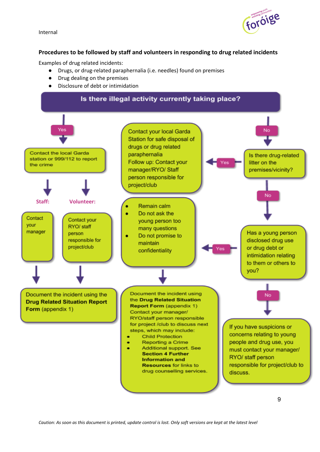

## <span id="page-8-0"></span>**Procedures to be followed by staff and volunteers in responding to drug related incidents**

Examples of drug related incidents:

- Drugs, or drug-related paraphernalia (i.e. needles) found on premises
- Drug dealing on the premises
- Disclosure of debt or intimidation

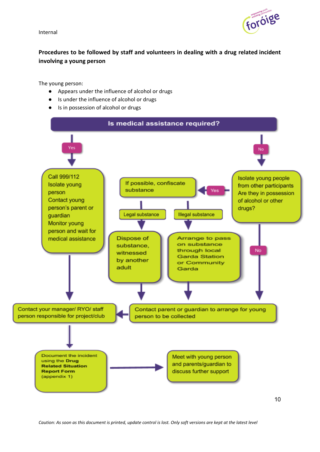

# <span id="page-9-0"></span>**Procedures to be followed by staff and volunteers in dealing with a drug related incident involving a young person**

The young person:

- Appears under the influence of alcohol or drugs
- Is under the influence of alcohol or drugs
- Is in possession of alcohol or drugs



*Caution: As soon as this document is printed, update control is lost. Only soft versions are kept at the latest level*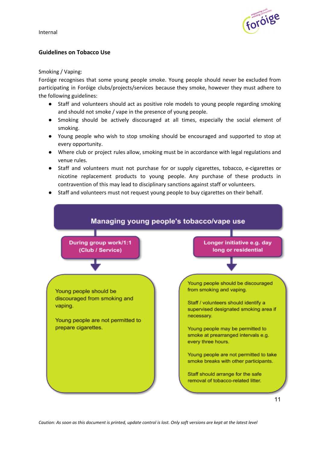

## <span id="page-10-0"></span>**Guidelines on Tobacco Use**

#### Smoking / Vaping:

Foróige recognises that some young people smoke. Young people should never be excluded from participating in Foróige clubs/projects/services because they smoke, however they must adhere to the following guidelines:

- Staff and volunteers should act as positive role models to young people regarding smoking and should not smoke / vape in the presence of young people.
- Smoking should be actively discouraged at all times, especially the social element of smoking.
- Young people who wish to stop smoking should be encouraged and supported to stop at every opportunity.
- Where club or project rules allow, smoking must be in accordance with legal regulations and venue rules.
- Staff and volunteers must not purchase for or supply cigarettes, tobacco, e-cigarettes or nicotine replacement products to young people. Any purchase of these products in contravention of this may lead to disciplinary sanctions against staff or volunteers.
- Staff and volunteers must not request young people to buy cigarettes on their behalf.

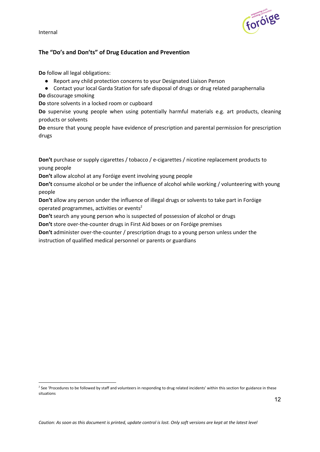

## <span id="page-11-0"></span>**The "Do's and Don'ts" of Drug Education and Prevention**

**Do** follow all legal obligations:

- Report any child protection concerns to your Designated Liaison Person
- Contact your local Garda Station for safe disposal of drugs or drug related paraphernalia **Do** discourage smoking

**Do** store solvents in a locked room or cupboard

**Do** supervise young people when using potentially harmful materials e.g. art products, cleaning products or solvents

**Do** ensure that young people have evidence of prescription and parental permission for prescription drugs

**Don't** purchase or supply cigarettes / tobacco / e-cigarettes / nicotine replacement products to young people

**Don't** allow alcohol at any Foróige event involving young people

**Don't** consume alcohol or be under the influence of alcohol while working / volunteering with young people

**Don't** allow any person under the influence of illegal drugs or solvents to take part in Foróige operated programmes, activities or events<sup>2</sup>

**Don't** search any young person who is suspected of possession of alcohol or drugs

**Don't** store over-the-counter drugs in First Aid boxes or on Foróige premises

**Don't** administer over-the-counter / prescription drugs to a young person unless under the instruction of qualified medical personnel or parents or guardians

<sup>&</sup>lt;sup>2</sup> See 'Procedures to be followed by staff and volunteers in responding to drug related incidents' within this section for guidance in these situations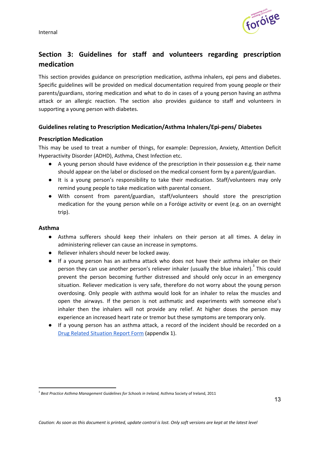

# <span id="page-12-0"></span>**Section 3: Guidelines for staff and volunteers regarding prescription medication**

This section provides guidance on prescription medication, asthma inhalers, epi pens and diabetes. Specific guidelines will be provided on medical documentation required from young people or their parents/guardians, storing medication and what to do in cases of a young person having an asthma attack or an allergic reaction. The section also provides guidance to staff and volunteers in supporting a young person with diabetes.

## <span id="page-12-1"></span>**Guidelines relating to Prescription Medication/Asthma Inhalers/Epi-pens/ Diabetes**

## **Prescription Medication**

This may be used to treat a number of things, for example: Depression, Anxiety, Attention Deficit Hyperactivity Disorder (ADHD), Asthma, Chest Infection etc.

- A young person should have evidence of the prescription in their possession e.g. their name should appear on the label or disclosed on the medical consent form by a parent/guardian.
- It is a young person's responsibility to take their medication. Staff/volunteers may only remind young people to take medication with parental consent.
- With consent from parent/guardian, staff/volunteers should store the prescription medication for the young person while on a Foróige activity or event (e.g. on an overnight trip).

#### **Asthma**

- Asthma sufferers should keep their inhalers on their person at all times. A delay in administering reliever can cause an increase in symptoms.
- Reliever inhalers should never be locked away.
- If a young person has an asthma attack who does not have their asthma inhaler on their person they can use another person's reliever inhaler (usually the blue inhaler).  $3$  This could prevent the person becoming further distressed and should only occur in an emergency situation. Reliever medication is very safe, therefore do not worry about the young person overdosing. Only people with asthma would look for an inhaler to relax the muscles and open the airways. If the person is not asthmatic and experiments with someone else's inhaler then the inhalers will not provide any relief. At higher doses the person may experience an increased heart rate or tremor but these symptoms are temporary only.
- If a young person has an asthma attack, a record of the incident should be recorded on a Drug Related [Situation](https://drive.google.com/file/d/0B_EHi7aIZ3wlVXJmQ2x0S3MtNTg/edit) Report Form (appendix 1).

<sup>3</sup> *Best Practice Asthma Management Guidelines for Schools in Ireland,* Asthma Society of Ireland, 2011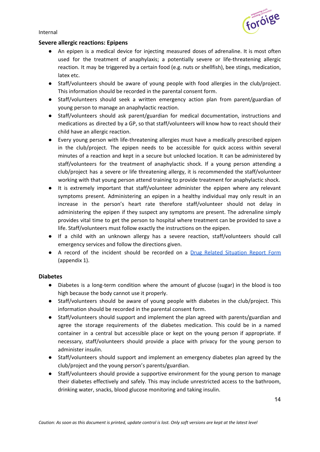

#### **Severe allergic reactions: Epipens**

- An epipen is a medical device for injecting measured doses of adrenaline. It is most often used for the treatment of anaphylaxis; a potentially severe or life-threatening allergic reaction. It may be triggered by a certain food (e.g. nuts or shellfish), bee stings, medication, latex etc.
- Staff/volunteers should be aware of young people with food allergies in the club/project. This information should be recorded in the parental consent form.
- Staff/volunteers should seek a written emergency action plan from parent/guardian of young person to manage an anaphylactic reaction.
- Staff/volunteers should ask parent/guardian for medical documentation, instructions and medications as directed by a GP, so that staff/volunteers will know how to react should their child have an allergic reaction.
- Every young person with life-threatening allergies must have a medically prescribed epipen in the club/project. The epipen needs to be accessible for quick access within several minutes of a reaction and kept in a secure but unlocked location. It can be administered by staff/volunteers for the treatment of anaphylactic shock. If a young person attending a club/project has a severe or life threatening allergy, it is recommended the staff/volunteer working with that young person attend training to provide treatment for anaphylactic shock.
- It is extremely important that staff/volunteer administer the epipen where any relevant symptoms present. Administering an epipen in a healthy individual may only result in an increase in the person's heart rate therefore staff/volunteer should not delay in administering the epipen if they suspect any symptoms are present. The adrenaline simply provides vital time to get the person to hospital where treatment can be provided to save a life. Staff/volunteers must follow exactly the instructions on the epipen.
- If a child with an unknown allergy has a severe reaction, staff/volunteers should call emergency services and follow the directions given.
- A record of the incident should be recorded on a **Drug Related [Situation](https://drive.google.com/file/d/0B_EHi7aIZ3wlVXJmQ2x0S3MtNTg/edit) Report Form** (appendix 1).

#### **Diabetes**

- Diabetes is a long-term condition where the amount of glucose (sugar) in the blood is too high because the body cannot use it properly.
- Staff/volunteers should be aware of young people with diabetes in the club/project. This information should be recorded in the parental consent form.
- Staff/volunteers should support and implement the plan agreed with parents/guardian and agree the storage requirements of the diabetes medication. This could be in a named container in a central but accessible place or kept on the young person if appropriate. If necessary, staff/volunteers should provide a place with privacy for the young person to administer insulin.
- Staff/volunteers should support and implement an emergency diabetes plan agreed by the club/project and the young person's parents/guardian.
- Staff/volunteers should provide a supportive environment for the young person to manage their diabetes effectively and safely. This may include unrestricted access to the bathroom, drinking water, snacks, blood glucose monitoring and taking insulin.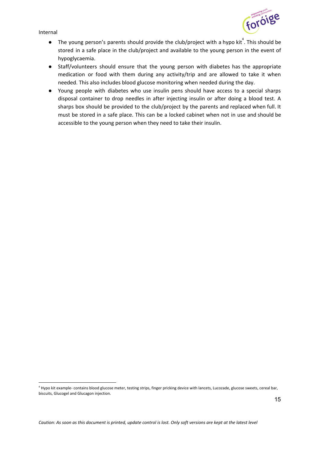

- $\bullet$  The young person's parents should provide the club/project with a hypo kit<sup>4</sup>. This should be stored in a safe place in the club/project and available to the young person in the event of hypoglycaemia.
- Staff/volunteers should ensure that the young person with diabetes has the appropriate medication or food with them during any activity/trip and are allowed to take it when needed. This also includes blood glucose monitoring when needed during the day.
- Young people with diabetes who use insulin pens should have access to a special sharps disposal container to drop needles in after injecting insulin or after doing a blood test. A sharps box should be provided to the club/project by the parents and replaced when full. It must be stored in a safe place. This can be a locked cabinet when not in use and should be accessible to the young person when they need to take their insulin.

 $4$  Hypo kit example- contains blood glucose meter, testing strips, finger pricking device with lancets, Lucozade, glucose sweets, cereal bar, biscuits, Glucogel and Glucagon injection.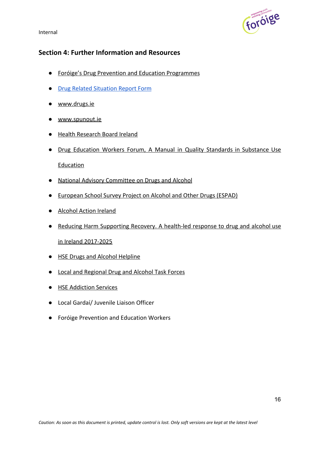

# <span id="page-15-0"></span>**Section 4: Further Information and Resources**

- [Foróige's Drug Prevention and Education Programmes](https://sites.google.com/a/foroige.ie/portal/training-learning-and-development/3-core-foroige-programmes/drug-prevention-and-education)
- [Drug Related Situation Report Form](https://drive.google.com/file/d/0B_EHi7aIZ3wlVXJmQ2x0S3MtNTg/edit)
- [www.drugs.ie](http://www.drugs.ie/)
- [www.spunout.ie](http://www.spunout.ie/)
- [Health Research Board Ireland](https://www.hrb.ie/)
- Drug Education Workers Forum, A Manual in Quality Standards in [Substance](https://www.drugsandalcohol.ie/6339/1/DEWF_Quality_standards_in_education_tables.pdf) Use [Education](https://www.drugsandalcohol.ie/6339/1/DEWF_Quality_standards_in_education_tables.pdf)
- [National Advisory Committee on Drugs and Alcohol](https://www.nacda.ie/)
- [European School Survey Project on Alcohol and Other Drugs \(ESPAD\)](http://www.espad.org/)
- [Alcohol Action Ireland](http://alcoholireland.ie/)
- Reducing Harm [Supporting](https://health.gov.ie/wp-content/uploads/2017/07/Reducing-Harm-Supporting-Recovery-2017-2025.pdf) Recovery. A health-led response to drug and alcohol use [in Ireland 2017-2025](https://health.gov.ie/wp-content/uploads/2017/07/Reducing-Harm-Supporting-Recovery-2017-2025.pdf)
- [HSE Drugs and Alcohol Helpline](https://www.hse.ie/eng/services/list/5/addiction/drugshivhelpline/)
- [Local and Regional Drug and Alcohol Task Forces](https://health.gov.ie/healthy-ireland/drugs-policy/local-and-regional-drugs-task-forces/)
- [HSE Addiction Services](https://www.hse.ie/eng/services/list/5/addiction)
- Local Gardaí/ Juvenile Liaison Officer
- Foróige Prevention and Education Workers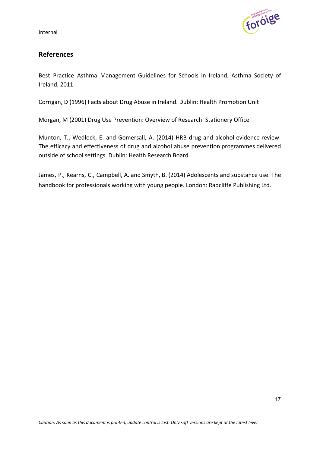

# <span id="page-16-0"></span>**References**

Best Practice Asthma Management Guidelines for Schools in Ireland, Asthma Society of Ireland, 2011

Corrigan, D (1996) Facts about Drug Abuse in Ireland. Dublin: Health Promotion Unit

Morgan, M (2001) Drug Use Prevention: Overview of Research: Stationery Office

Munton, T., Wedlock, E. and Gomersall, A. (2014) HRB drug and alcohol evidence review. The efficacy and effectiveness of drug and alcohol abuse prevention programmes delivered outside of school settings. Dublin: Health Research Board

<span id="page-16-1"></span>James, P., Kearns, C., Campbell, A. and Smyth, B. (2014) Adolescents and substance use. The handbook for professionals working with young people. London: Radcliffe Publishing Ltd.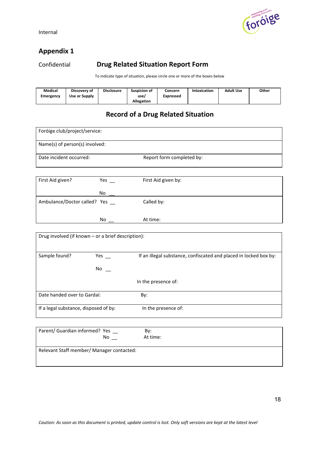

# <span id="page-17-0"></span>**Appendix 1**

Confidential **Drug Related Situation Report Form**

To indicate type of situation, please circle one or more of the boxes below

| Medical   | Discovery of  | <b>Disclosure</b> | Suspicion of      | Concern   | Intoxication | <b>Adult Use</b> | Other |
|-----------|---------------|-------------------|-------------------|-----------|--------------|------------------|-------|
| Emergency | Use or Supply |                   | use/              | Expressed |              |                  |       |
|           |               |                   | <b>Allegation</b> |           |              |                  |       |

# **Record of a Drug Related Situation**

| Foróige club/project/service:                                       |                           |                                                                   |  |  |  |  |
|---------------------------------------------------------------------|---------------------------|-------------------------------------------------------------------|--|--|--|--|
| Name(s) of person(s) involved:                                      |                           |                                                                   |  |  |  |  |
| Date incident occurred:                                             |                           | Report form completed by:                                         |  |  |  |  |
|                                                                     |                           |                                                                   |  |  |  |  |
| First Aid given?                                                    | Yes $\_\_$                | First Aid given by:                                               |  |  |  |  |
|                                                                     | No                        |                                                                   |  |  |  |  |
| Ambulance/Doctor called? Yes __                                     |                           | Called by:                                                        |  |  |  |  |
|                                                                     | No l                      | At time:                                                          |  |  |  |  |
| Drug involved (if known - or a brief description):<br>Sample found? | Yes $\_$<br>$No$ $\qquad$ | If an illegal substance, confiscated and placed in locked box by: |  |  |  |  |
|                                                                     |                           | In the presence of:                                               |  |  |  |  |
| Date handed over to Gardaí:                                         |                           | By:                                                               |  |  |  |  |
| If a legal substance, disposed of by:                               |                           | In the presence of:                                               |  |  |  |  |
| Parent/ Guardian informed? Yes _                                    | No results                | By:<br>At time:                                                   |  |  |  |  |
| Relevant Staff member/ Manager contacted:                           |                           |                                                                   |  |  |  |  |